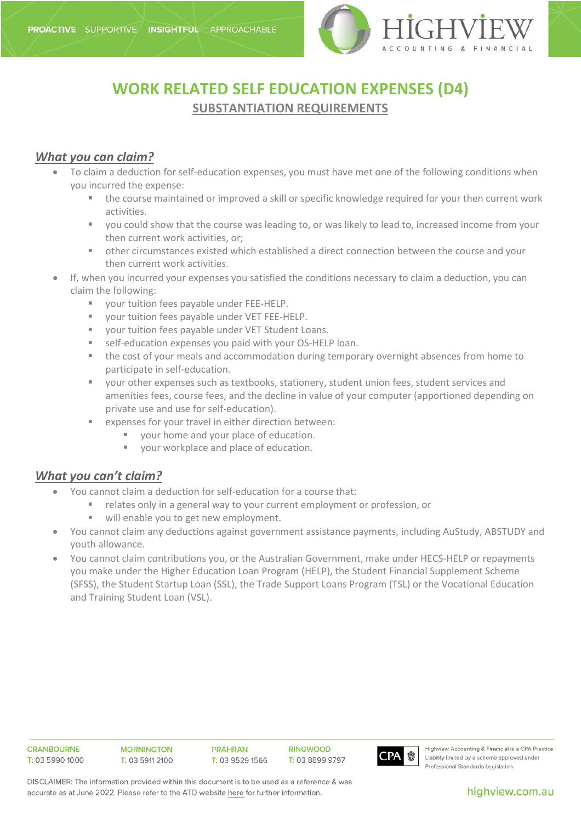

## **WORK RELATED SELF EDUCATION EXPENSES (D4) SUBSTANTIATION REQUIREMENTS**

## *What you can claim?*

- To claim a deduction for self-education expenses, you must have met one of the following conditions when you incurred the expense:
	- the course maintained or improved a skill or specific knowledge required for your then current work activities.
	- you could show that the course was leading to, or was likely to lead to, increased income from your then current work activities, or;
	- other circumstances existed which established a direct connection between the course and your then current work activities.
- If, when you incurred your expenses you satisfied the conditions necessary to claim a deduction, you can claim the following:
	- your tuition fees payable under FEE-HELP.
	- your tuition fees payable under VET FEE-HELP.
	- your tuition fees payable under VET Student Loans.
	- self-education expenses you paid with your OS-HELP loan.
	- the cost of your meals and accommodation during temporary overnight absences from home to participate in self-education.
	- your other expenses such as textbooks, stationery, student union fees, student services and amenities fees, course fees, and the decline in value of your computer (apportioned depending on private use and use for self-education).
	- expenses for your travel in either direction between:
		- vour home and your place of education.
		- vour workplace and place of education.

## *What you can't claim?*

- You cannot claim a deduction for self-education for a course that:
	- relates only in a general way to your current employment or profession, or
	- will enable you to get new employment.
- You cannot claim any deductions against government assistance payments, including AuStudy, ABSTUDY and youth allowance.
- You cannot claim contributions you, or the Australian Government, make under HECS-HELP or repayments you make under the Higher Education Loan Program (HELP), the Student Financial Supplement Scheme (SFSS), the Student Startup Loan (SSL), the Trade Support Loans Program (TSL) or the Vocational Education and Training Student Loan (VSL).

| <b>CRANBOURNE</b> | <b>MORNINGTON</b> | <b>PRAHRAN</b>  | <b>RINGWOOD</b> |     |
|-------------------|-------------------|-----------------|-----------------|-----|
| T: 03 5990 1000   | T: 03 5911 2100   | T: 03 9529 1566 | T: 03 8899 9797 | CP/ |
|                   |                   |                 |                 |     |



Highview Accounting & Financial is a CPA Practice Liability limited by a scheme approved under Professional Standards Legislation

DISCLAIMER: The information provided within this document is to be used as a reference & was accurate as at June 2022. Please refer to the ATO website here for further information.